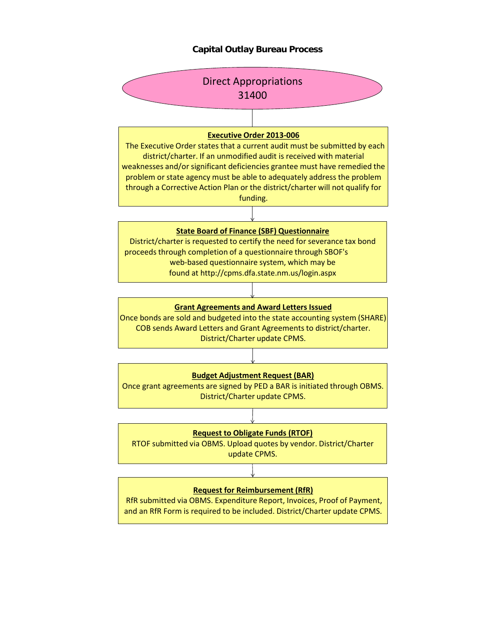## **Capital Outlay Bureau Process**

# **Request to Obligate Funds (RTOF)**



RTOF submitted via OBMS. Upload quotes by vendor. District/Charter update CPMS.

#### **Request for Reimbursement (RfR)**

RfR submitted via OBMS. Expenditure Report, Invoices, Proof of Payment, and an RfR Form is required to be included. District/Charter update CPMS.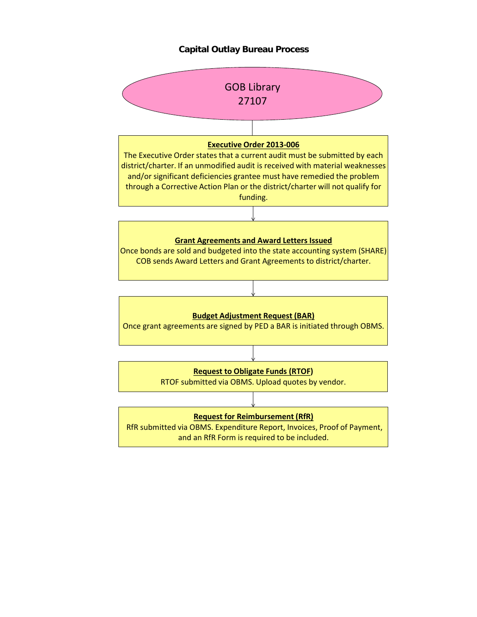### **Capital Outlay Bureau Process**



RfR submitted via OBMS. Expenditure Report, Invoices, Proof of Payment, and an RfR Form is required to be included.